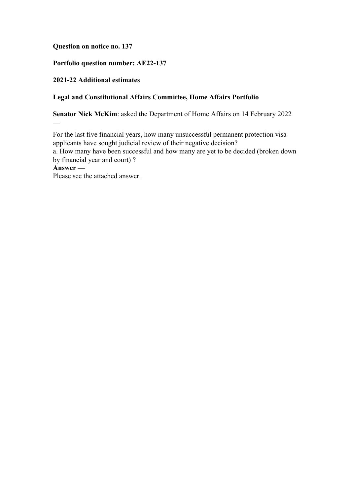## **Question on notice no. 137**

## **Portfolio question number: AE22-137**

## **2021-22 Additional estimates**

—

## **Legal and Constitutional Affairs Committee, Home Affairs Portfolio**

**Senator Nick McKim**: asked the Department of Home Affairs on 14 February 2022

For the last five financial years, how many unsuccessful permanent protection visa applicants have sought judicial review of their negative decision? a. How many have been successful and how many are yet to be decided (broken down by financial year and court) ? **Answer —** Please see the attached answer.